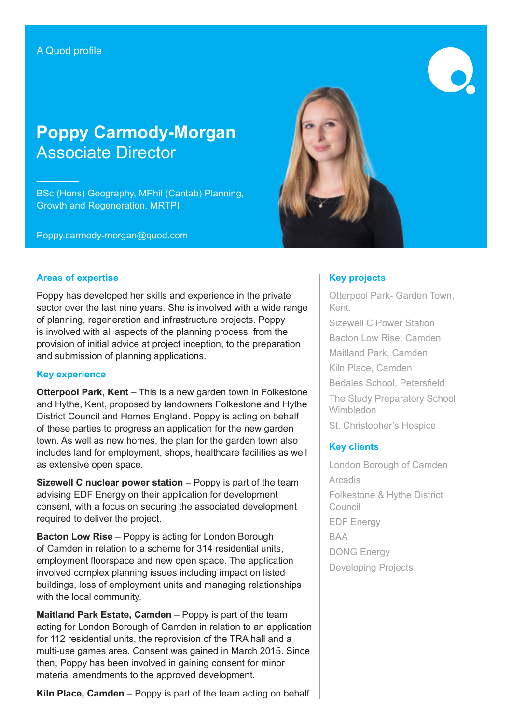**––––––––**

# **Poppy Carmody-Morgan** Associate Director

BSc (Hons) Geography, MPhil (Cantab) Planning, Growth and Regeneration, MRTPI

Poppy.carmody-morgan@quod.com



#### **Areas of expertise**

Poppy has developed her skills and experience in the private sector over the last nine years. She is involved with a wide range of planning, regeneration and infrastructure projects. Poppy is involved with all aspects of the planning process, from the provision of initial advice at project inception, to the preparation and submission of planning applications.

#### **Key experience**

**Otterpool Park, Kent** – This is a new garden town in Folkestone and Hythe, Kent, proposed by landowners Folkestone and Hythe District Council and Homes England. Poppy is acting on behalf of these parties to progress an application for the new garden town. As well as new homes, the plan for the garden town also includes land for employment, shops, healthcare facilities as well as extensive open space.

**Sizewell C nuclear power station** – Poppy is part of the team advising EDF Energy on their application for development consent, with a focus on securing the associated development required to deliver the project.

**Bacton Low Rise** – Poppy is acting for London Borough of Camden in relation to a scheme for 314 residential units, employment floorspace and new open space. The application involved complex planning issues including impact on listed buildings, loss of employment units and managing relationships with the local community.

**Maitland Park Estate, Camden** – Poppy is part of the team acting for London Borough of Camden in relation to an application for 112 residential units, the reprovision of the TRA hall and a multi-use games area. Consent was gained in March 2015. Since then, Poppy has been involved in gaining consent for minor material amendments to the approved development.

**Kiln Place, Camden** – Poppy is part of the team acting on behalf

## **Key projects**

Otterpool Park- Garden Town, Kent. Sizewell C Power Station Bacton Low Rise, Camden Maitland Park, Camden Kiln Place, Camden Bedales School, Petersfield The Study Preparatory School, Wimbledon St. Christopher's Hospice

### **Key clients**

London Borough of Camden **Arcadis** Folkestone & Hythe District Council EDF Energy BAA DONG Energy Developing Projects